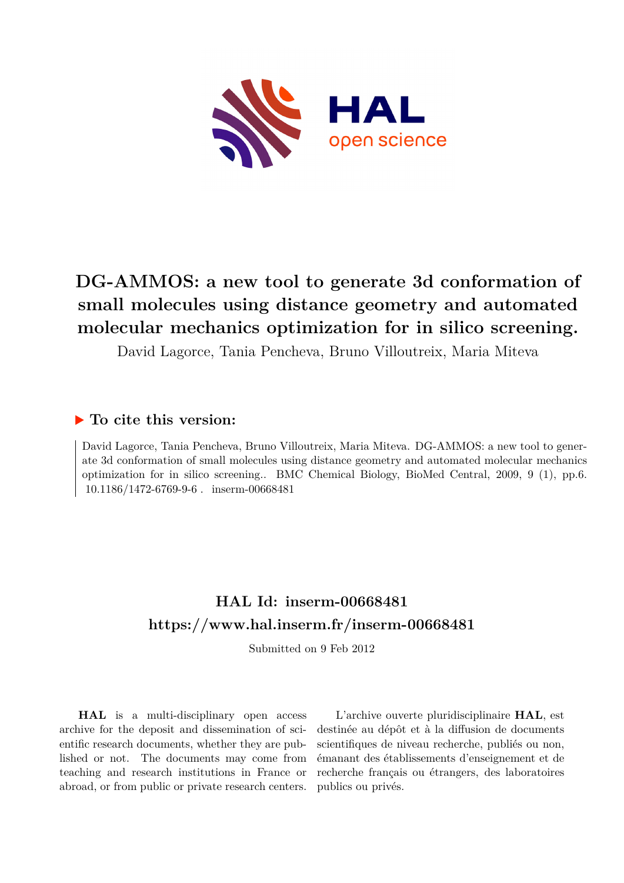

# **DG-AMMOS: a new tool to generate 3d conformation of small molecules using distance geometry and automated molecular mechanics optimization for in silico screening.**

David Lagorce, Tania Pencheva, Bruno Villoutreix, Maria Miteva

# **To cite this version:**

David Lagorce, Tania Pencheva, Bruno Villoutreix, Maria Miteva. DG-AMMOS: a new tool to generate 3d conformation of small molecules using distance geometry and automated molecular mechanics optimization for in silico screening.. BMC Chemical Biology, BioMed Central, 2009, 9 (1), pp.6. 10.1186/1472-6769-9-6. inserm-00668481

# **HAL Id: inserm-00668481 <https://www.hal.inserm.fr/inserm-00668481>**

Submitted on 9 Feb 2012

**HAL** is a multi-disciplinary open access archive for the deposit and dissemination of scientific research documents, whether they are published or not. The documents may come from teaching and research institutions in France or abroad, or from public or private research centers.

L'archive ouverte pluridisciplinaire **HAL**, est destinée au dépôt et à la diffusion de documents scientifiques de niveau recherche, publiés ou non, émanant des établissements d'enseignement et de recherche français ou étrangers, des laboratoires publics ou privés.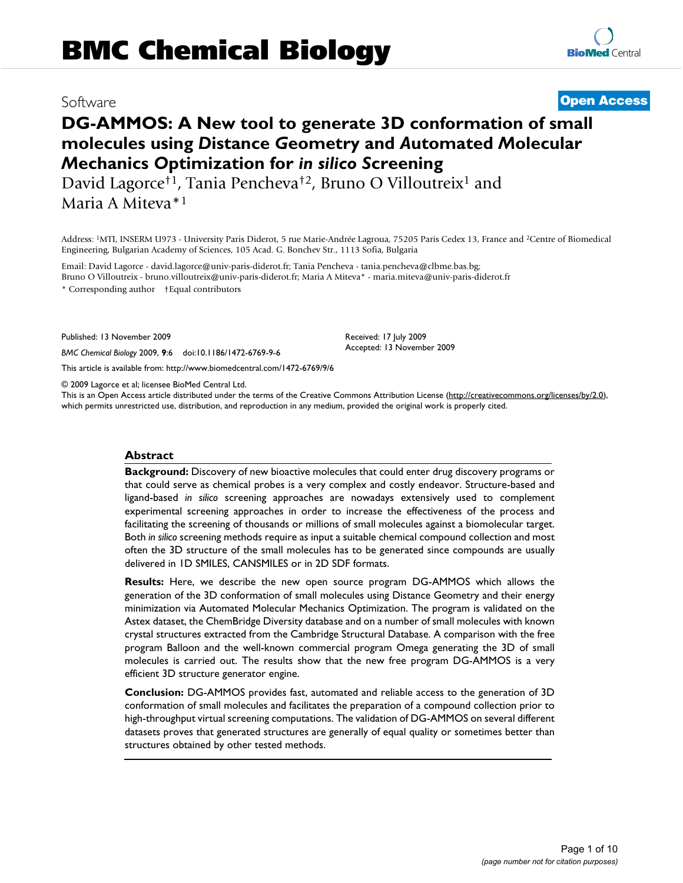# Software **[Open Access](http://www.biomedcentral.com/info/about/charter/)**

**RioMed Central** 

# **DG-AMMOS: A New tool to generate 3D conformation of small molecules using** *D***istance** *G***eometry and** *A***utomated** *M***olecular**  *M***echanics** *O***ptimization for** *in silico S***creening**

David Lagorce†1, Tania Pencheva†2, Bruno O Villoutreix<sup>1</sup> and Maria A Miteva\*<sup>1</sup>

Address: <sup>1</sup>MTI, INSERM U973 - University Paris Diderot, 5 rue Marie-Andrée Lagroua, 75205 Paris Cedex 13, France and <sup>2</sup>Centre of Biomedical Engineering, Bulgarian Academy of Sciences, 105 Acad. G. Bonchev Str., 1113 Sofia, Bulgaria

Email: David Lagorce - david.lagorce@univ-paris-diderot.fr; Tania Pencheva - tania.pencheva@clbme.bas.bg; Bruno O Villoutreix - bruno.villoutreix@univ-paris-diderot.fr; Maria A Miteva\* - maria.miteva@univ-paris-diderot.fr

\* Corresponding author †Equal contributors

Published: 13 November 2009

*BMC Chemical Biology* 2009, **9**:6 doi:10.1186/1472-6769-9-6

[This article is available from: http://www.biomedcentral.com/1472-6769/9/6](http://www.biomedcentral.com/1472-6769/9/6)

© 2009 Lagorce et al; licensee BioMed Central Ltd.

This is an Open Access article distributed under the terms of the Creative Commons Attribution License [\(http://creativecommons.org/licenses/by/2.0\)](http://creativecommons.org/licenses/by/2.0), which permits unrestricted use, distribution, and reproduction in any medium, provided the original work is properly cited.

Received: 17 July 2009 Accepted: 13 November 2009

### **Abstract**

**Background:** Discovery of new bioactive molecules that could enter drug discovery programs or that could serve as chemical probes is a very complex and costly endeavor. Structure-based and ligand-based *in silico* screening approaches are nowadays extensively used to complement experimental screening approaches in order to increase the effectiveness of the process and facilitating the screening of thousands or millions of small molecules against a biomolecular target. Both *in silico* screening methods require as input a suitable chemical compound collection and most often the 3D structure of the small molecules has to be generated since compounds are usually delivered in 1D SMILES, CANSMILES or in 2D SDF formats.

**Results:** Here, we describe the new open source program DG-AMMOS which allows the generation of the 3D conformation of small molecules using Distance Geometry and their energy minimization via Automated Molecular Mechanics Optimization. The program is validated on the Astex dataset, the ChemBridge Diversity database and on a number of small molecules with known crystal structures extracted from the Cambridge Structural Database. A comparison with the free program Balloon and the well-known commercial program Omega generating the 3D of small molecules is carried out. The results show that the new free program DG-AMMOS is a very efficient 3D structure generator engine.

**Conclusion:** DG-AMMOS provides fast, automated and reliable access to the generation of 3D conformation of small molecules and facilitates the preparation of a compound collection prior to high-throughput virtual screening computations. The validation of DG-AMMOS on several different datasets proves that generated structures are generally of equal quality or sometimes better than structures obtained by other tested methods.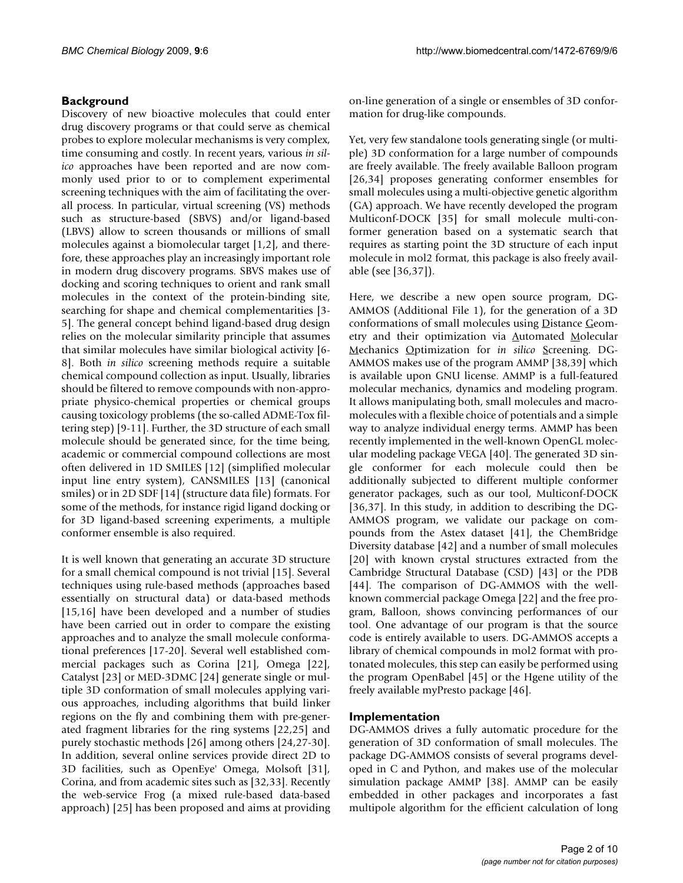# **Background**

Discovery of new bioactive molecules that could enter drug discovery programs or that could serve as chemical probes to explore molecular mechanisms is very complex, time consuming and costly. In recent years, various *in silico* approaches have been reported and are now commonly used prior to or to complement experimental screening techniques with the aim of facilitating the overall process. In particular, virtual screening (VS) methods such as structure-based (SBVS) and/or ligand-based (LBVS) allow to screen thousands or millions of small molecules against a biomolecular target [1,2], and therefore, these approaches play an increasingly important role in modern drug discovery programs. SBVS makes use of docking and scoring techniques to orient and rank small molecules in the context of the protein-binding site, searching for shape and chemical complementarities [3- 5]. The general concept behind ligand-based drug design relies on the molecular similarity principle that assumes that similar molecules have similar biological activity [6- 8]. Both *in silico* screening methods require a suitable chemical compound collection as input. Usually, libraries should be filtered to remove compounds with non-appropriate physico-chemical properties or chemical groups causing toxicology problems (the so-called ADME-Tox filtering step) [9-11]. Further, the 3D structure of each small molecule should be generated since, for the time being, academic or commercial compound collections are most often delivered in 1D SMILES [12] (simplified molecular input line entry system), CANSMILES [13] (canonical smiles) or in 2D SDF [14] (structure data file) formats. For some of the methods, for instance rigid ligand docking or for 3D ligand-based screening experiments, a multiple conformer ensemble is also required.

It is well known that generating an accurate 3D structure for a small chemical compound is not trivial [15]. Several techniques using rule-based methods (approaches based essentially on structural data) or data-based methods [15,16] have been developed and a number of studies have been carried out in order to compare the existing approaches and to analyze the small molecule conformational preferences [17-20]. Several well established commercial packages such as Corina [21], Omega [22], Catalyst [23] or MED-3DMC [24] generate single or multiple 3D conformation of small molecules applying various approaches, including algorithms that build linker regions on the fly and combining them with pre-generated fragment libraries for the ring systems [22,25] and purely stochastic methods [26] among others [24,27-30]. In addition, several online services provide direct 2D to 3D facilities, such as OpenEye' Omega, Molsoft [31], Corina, and from academic sites such as [32,33]. Recently the web-service Frog (a mixed rule-based data-based approach) [25] has been proposed and aims at providing

on-line generation of a single or ensembles of 3D conformation for drug-like compounds.

Yet, very few standalone tools generating single (or multiple) 3D conformation for a large number of compounds are freely available. The freely available Balloon program [26,34] proposes generating conformer ensembles for small molecules using a multi-objective genetic algorithm (GA) approach. We have recently developed the program Multiconf-DOCK [35] for small molecule multi-conformer generation based on a systematic search that requires as starting point the 3D structure of each input molecule in mol2 format, this package is also freely available (see [36,37]).

Here, we describe a new open source program, DG-AMMOS (Additional File 1), for the generation of a 3D conformations of small molecules using Distance Geometry and their optimization via Automated Molecular Mechanics Optimization for *in silico* Screening. DG-AMMOS makes use of the program AMMP [38,39] which is available upon GNU license. AMMP is a full-featured molecular mechanics, dynamics and modeling program. It allows manipulating both, small molecules and macromolecules with a flexible choice of potentials and a simple way to analyze individual energy terms. AMMP has been recently implemented in the well-known OpenGL molecular modeling package VEGA [40]. The generated 3D single conformer for each molecule could then be additionally subjected to different multiple conformer generator packages, such as our tool, Multiconf-DOCK [36,37]. In this study, in addition to describing the DG-AMMOS program, we validate our package on compounds from the Astex dataset [41], the ChemBridge Diversity database [42] and a number of small molecules [20] with known crystal structures extracted from the Cambridge Structural Database (CSD) [43] or the PDB [44]. The comparison of DG-AMMOS with the wellknown commercial package Omega [22] and the free program, Balloon, shows convincing performances of our tool. One advantage of our program is that the source code is entirely available to users. DG-AMMOS accepts a library of chemical compounds in mol2 format with protonated molecules, this step can easily be performed using the program OpenBabel [45] or the Hgene utility of the freely available myPresto package [46].

# **Implementation**

DG-AMMOS drives a fully automatic procedure for the generation of 3D conformation of small molecules. The package DG-AMMOS consists of several programs developed in C and Python, and makes use of the molecular simulation package AMMP [38]. AMMP can be easily embedded in other packages and incorporates a fast multipole algorithm for the efficient calculation of long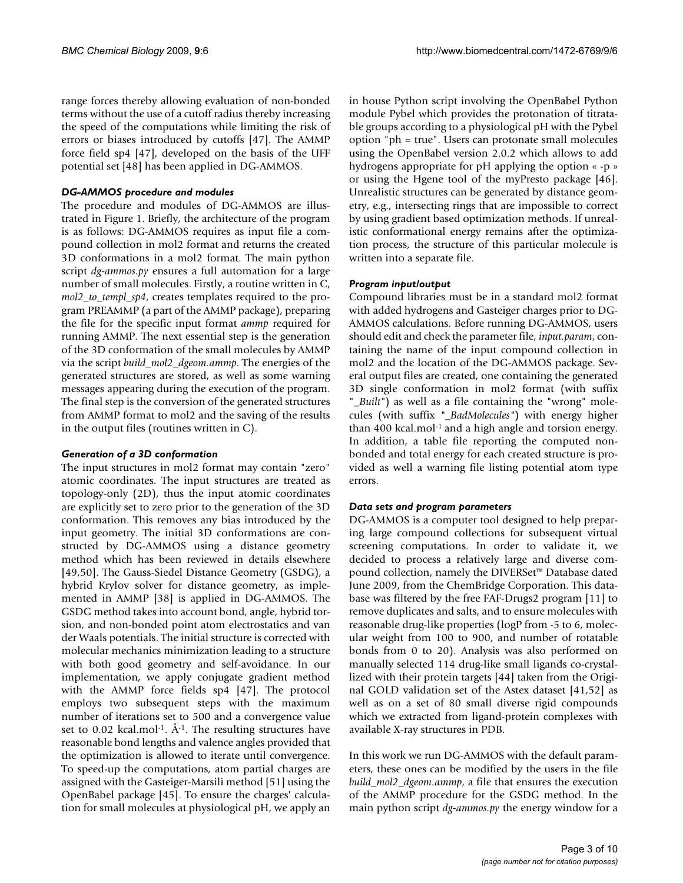range forces thereby allowing evaluation of non-bonded terms without the use of a cutoff radius thereby increasing the speed of the computations while limiting the risk of errors or biases introduced by cutoffs [47]. The AMMP force field sp4 [47], developed on the basis of the UFF potential set [48] has been applied in DG-AMMOS.

## *DG-AMMOS procedure and modules*

The procedure and modules of DG-AMMOS are illustrated in Figure 1. Briefly, the architecture of the program is as follows: DG-AMMOS requires as input file a compound collection in mol2 format and returns the created 3D conformations in a mol2 format. The main python script *dg-ammos.py* ensures a full automation for a large number of small molecules. Firstly, a routine written in C, *mol2\_to\_templ\_sp4*, creates templates required to the program PREAMMP (a part of the AMMP package), preparing the file for the specific input format *ammp* required for running AMMP. The next essential step is the generation of the 3D conformation of the small molecules by AMMP via the script *build\_mol2\_dgeom.ammp*. The energies of the generated structures are stored, as well as some warning messages appearing during the execution of the program. The final step is the conversion of the generated structures from AMMP format to mol2 and the saving of the results in the output files (routines written in C).

# *Generation of a 3D conformation*

The input structures in mol2 format may contain "zero" atomic coordinates. The input structures are treated as topology-only (2D), thus the input atomic coordinates are explicitly set to zero prior to the generation of the 3D conformation. This removes any bias introduced by the input geometry. The initial 3D conformations are constructed by DG-AMMOS using a distance geometry method which has been reviewed in details elsewhere [49,50]. The Gauss-Siedel Distance Geometry (GSDG), a hybrid Krylov solver for distance geometry, as implemented in AMMP [38] is applied in DG-AMMOS. The GSDG method takes into account bond, angle, hybrid torsion, and non-bonded point atom electrostatics and van der Waals potentials. The initial structure is corrected with molecular mechanics minimization leading to a structure with both good geometry and self-avoidance. In our implementation, we apply conjugate gradient method with the AMMP force fields sp4 [47]. The protocol employs two subsequent steps with the maximum number of iterations set to 500 and a convergence value set to  $0.02$  kcal.mol<sup>-1</sup>. Å<sup>-1</sup>. The resulting structures have reasonable bond lengths and valence angles provided that the optimization is allowed to iterate until convergence. To speed-up the computations, atom partial charges are assigned with the Gasteiger-Marsili method [51] using the OpenBabel package [45]. To ensure the charges' calculation for small molecules at physiological pH, we apply an

in house Python script involving the OpenBabel Python module Pybel which provides the protonation of titratable groups according to a physiological pH with the Pybel option "ph = true". Users can protonate small molecules using the OpenBabel version 2.0.2 which allows to add hydrogens appropriate for pH applying the option « -p » or using the Hgene tool of the myPresto package [46]. Unrealistic structures can be generated by distance geometry, e.g., intersecting rings that are impossible to correct by using gradient based optimization methods. If unrealistic conformational energy remains after the optimization process, the structure of this particular molecule is written into a separate file.

# *Program input/output*

Compound libraries must be in a standard mol2 format with added hydrogens and Gasteiger charges prior to DG-AMMOS calculations. Before running DG-AMMOS, users should edit and check the parameter file, *input.param*, containing the name of the input compound collection in mol2 and the location of the DG-AMMOS package. Several output files are created, one containing the generated 3D single conformation in mol2 format (with suffix "*\_Built"*) as well as a file containing the "wrong" molecules (with suffix *"\_BadMolecules"*) with energy higher than 400 kcal.mol-1 and a high angle and torsion energy. In addition, a table file reporting the computed nonbonded and total energy for each created structure is provided as well a warning file listing potential atom type errors.

# *Data sets and program parameters*

DG-AMMOS is a computer tool designed to help preparing large compound collections for subsequent virtual screening computations. In order to validate it, we decided to process a relatively large and diverse compound collection, namely the DIVERSet™ Database dated June 2009, from the ChemBridge Corporation. This database was filtered by the free FAF-Drugs2 program [11] to remove duplicates and salts, and to ensure molecules with reasonable drug-like properties (logP from -5 to 6, molecular weight from 100 to 900, and number of rotatable bonds from 0 to 20). Analysis was also performed on manually selected 114 drug-like small ligands co-crystallized with their protein targets [44] taken from the Original GOLD validation set of the Astex dataset [41,52] as well as on a set of 80 small diverse rigid compounds which we extracted from ligand-protein complexes with available X-ray structures in PDB.

In this work we run DG-AMMOS with the default parameters, these ones can be modified by the users in the file *build\_mol2\_dgeom.ammp*, a file that ensures the execution of the AMMP procedure for the GSDG method. In the main python script *dg-ammos.py* the energy window for a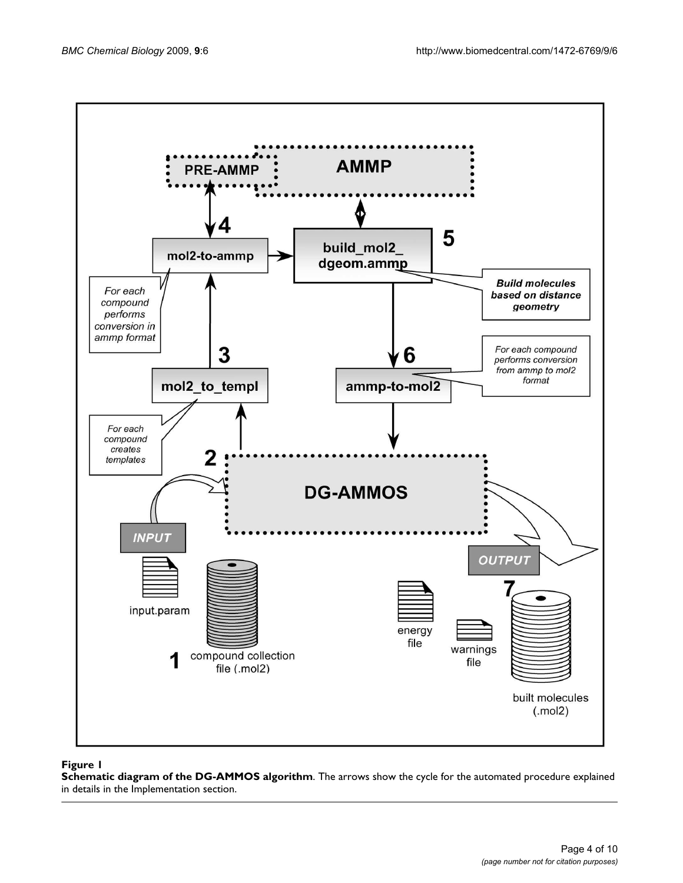

# Figure 1

**Schematic diagram of the DG-AMMOS algorithm**. The arrows show the cycle for the automated procedure explained in details in the Implementation section.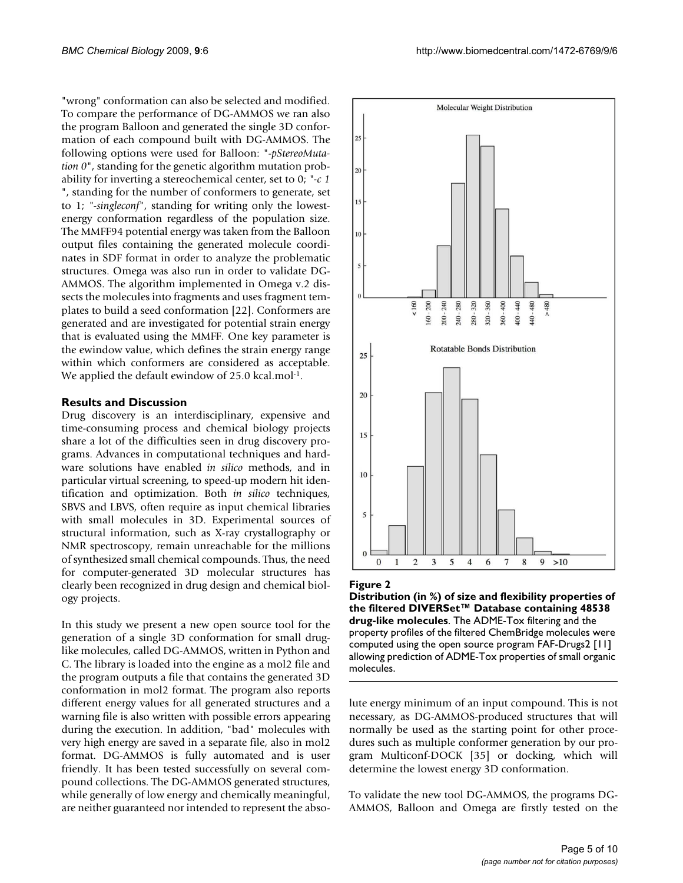"wrong" conformation can also be selected and modified. To compare the performance of DG-AMMOS we ran also the program Balloon and generated the single 3D conformation of each compound built with DG-AMMOS. The following options were used for Balloon: "-*pStereoMutation 0*", standing for the genetic algorithm mutation probability for inverting a stereochemical center, set to 0; *"-c 1* ", standing for the number of conformers to generate, set to 1; *"-singleconf*", standing for writing only the lowestenergy conformation regardless of the population size. The MMFF94 potential energy was taken from the Balloon output files containing the generated molecule coordinates in SDF format in order to analyze the problematic structures. Omega was also run in order to validate DG-AMMOS. The algorithm implemented in Omega v.2 dissects the molecules into fragments and uses fragment templates to build a seed conformation [22]. Conformers are generated and are investigated for potential strain energy that is evaluated using the MMFF. One key parameter is the ewindow value, which defines the strain energy range within which conformers are considered as acceptable. We applied the default ewindow of 25.0 kcal.mol<sup>-1</sup>.

### **Results and Discussion**

Drug discovery is an interdisciplinary, expensive and time-consuming process and chemical biology projects share a lot of the difficulties seen in drug discovery programs. Advances in computational techniques and hardware solutions have enabled *in silico* methods, and in particular virtual screening, to speed-up modern hit identification and optimization. Both *in silico* techniques, SBVS and LBVS, often require as input chemical libraries with small molecules in 3D. Experimental sources of structural information, such as X-ray crystallography or NMR spectroscopy, remain unreachable for the millions of synthesized small chemical compounds. Thus, the need for computer-generated 3D molecular structures has clearly been recognized in drug design and chemical biology projects.

In this study we present a new open source tool for the generation of a single 3D conformation for small druglike molecules, called DG-AMMOS, written in Python and C. The library is loaded into the engine as a mol2 file and the program outputs a file that contains the generated 3D conformation in mol2 format. The program also reports different energy values for all generated structures and a warning file is also written with possible errors appearing during the execution. In addition, "bad" molecules with very high energy are saved in a separate file, also in mol2 format. DG-AMMOS is fully automated and is user friendly. It has been tested successfully on several compound collections. The DG-AMMOS generated structures, while generally of low energy and chemically meaningful, are neither guaranteed nor intended to represent the abso-



#### Figure 2

**Distribution (in %) of size and flexibility properties of the filtered DIVERSet™ Database containing 48538 drug-like molecules**. The ADME-Tox filtering and the property profiles of the filtered ChemBridge molecules were computed using the open source program FAF-Drugs2 [11] allowing prediction of ADME-Tox properties of small organic molecules.

lute energy minimum of an input compound. This is not necessary, as DG-AMMOS-produced structures that will normally be used as the starting point for other procedures such as multiple conformer generation by our program Multiconf-DOCK [35] or docking, which will determine the lowest energy 3D conformation.

To validate the new tool DG-AMMOS, the programs DG-AMMOS, Balloon and Omega are firstly tested on the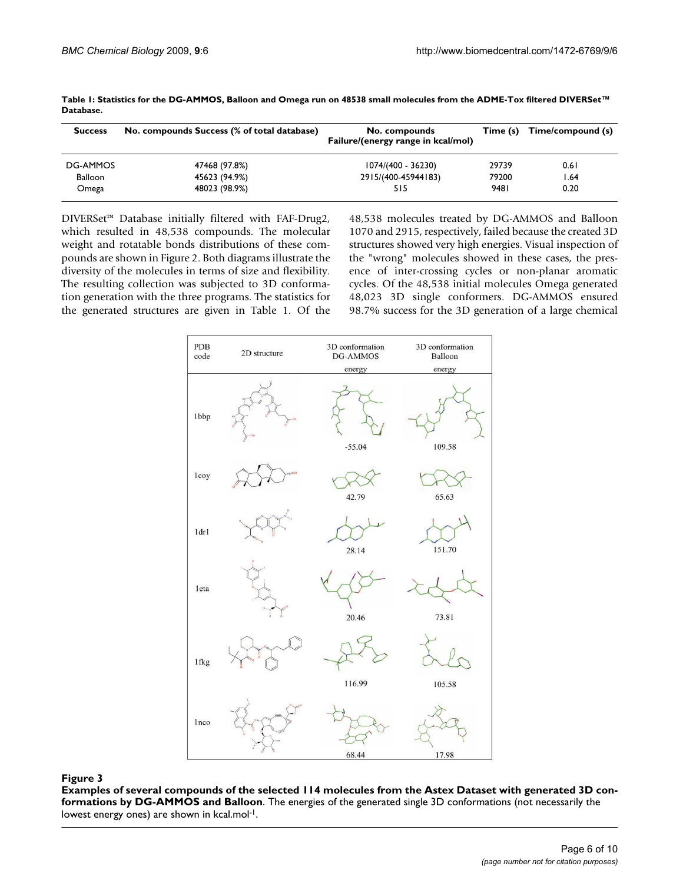| <b>Success</b> | No. compounds Success (% of total database) | No. compounds<br>Failure/(energy range in kcal/mol) | Time (s) | Time/compound (s) |
|----------------|---------------------------------------------|-----------------------------------------------------|----------|-------------------|
| DG-AMMOS       | 47468 (97.8%)                               | 1074/(400 - 36230)                                  | 29739    | 0.61              |
| Balloon        | 45623 (94.9%)                               | 2915/(400-45944183)                                 | 79200    | l.64              |
| Omega          | 48023 (98.9%)                               | 515                                                 | 9481     | 0.20              |

**Table 1: Statistics for the DG-AMMOS, Balloon and Omega run on 48538 small molecules from the ADME-Tox filtered DIVERSet™ Database.**

DIVERSet™ Database initially filtered with FAF-Drug2, which resulted in 48,538 compounds. The molecular weight and rotatable bonds distributions of these compounds are shown in Figure 2. Both diagrams illustrate the diversity of the molecules in terms of size and flexibility. The resulting collection was subjected to 3D conformation generation with the three programs. The statistics for the generated structures are given in Table 1. Of the 48,538 molecules treated by DG-AMMOS and Balloon 1070 and 2915, respectively, failed because the created 3D structures showed very high energies. Visual inspection of the "wrong" molecules showed in these cases, the presence of inter-crossing cycles or non-planar aromatic cycles. Of the 48,538 initial molecules Omega generated 48,023 3D single conformers. DG-AMMOS ensured 98.7% success for the 3D generation of a large chemical



**Examples of several compounds of the selected 114 molecules from the Astex Dataset with generated 3D conformations by DG-AMMOS and Balloon**. The energies of the generated single 3D conformations (not necessarily the lowest energy ones) are shown in kcal.mol-1.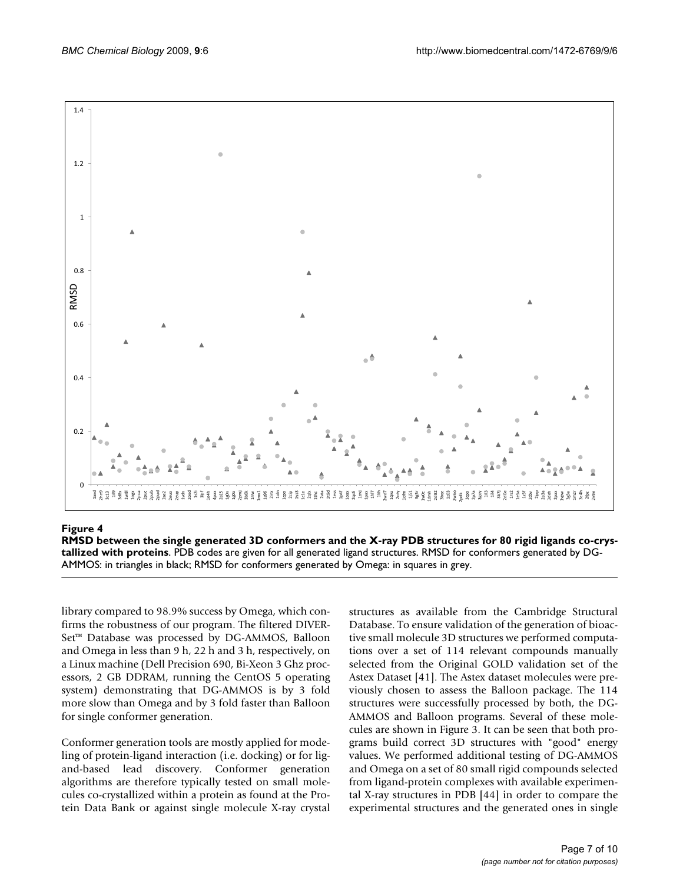

# RMSD between the single generated 3D co teins **Figure 4** nformers and the X-ray PDB structures for 80 rigid ligands co-crystallized with pro-

**RMSD between the single generated 3D conformers and the X-ray PDB structures for 80 rigid ligands co-crystallized with proteins**. PDB codes are given for all generated ligand structures. RMSD for conformers generated by DG-

library compared to 98.9% success by Omega, which confirms the robustness of our program. The filtered DIVER-Set<sup>™</sup> Database was processed by DG-AMMOS, Balloon and Omega in less than 9 h, 22 h and 3 h, respectively, on a Linux machine (Dell Precision 690, Bi-Xeon 3 Ghz processors, 2 GB DDRAM, running the CentOS 5 operating system) demonstrating that DG-AMMOS is by 3 fold more slow than Omega and by 3 fold faster than Balloon for single conformer generation.

Conformer generation tools are mostly applied for modeling of protein-ligand interaction (i.e. docking) or for ligand-based lead discovery. Conformer generation algorithms are therefore typically tested on small molecules co-crystallized within a protein as found at the Protein Data Bank or against single molecule X-ray crystal

structures as available from the Cambridge Structural Database. To ensure validation of the generation of bioactive small molecule 3D structures we performed computations over a set of 114 relevant compounds manually selected from the Original GOLD validation set of the Astex Dataset [41]. The Astex dataset molecules were previously chosen to assess the Balloon package. The 114 structures were successfully processed by both, the DG-AMMOS and Balloon programs. Several of these molecules are shown in Figure 3. It can be seen that both programs build correct 3D structures with "good" energy values. We performed additional testing of DG-AMMOS and Omega on a set of 80 small rigid compounds selected from ligand-protein complexes with available experimental X-ray structures in PDB [44] in order to compare the experimental structures and the generated ones in single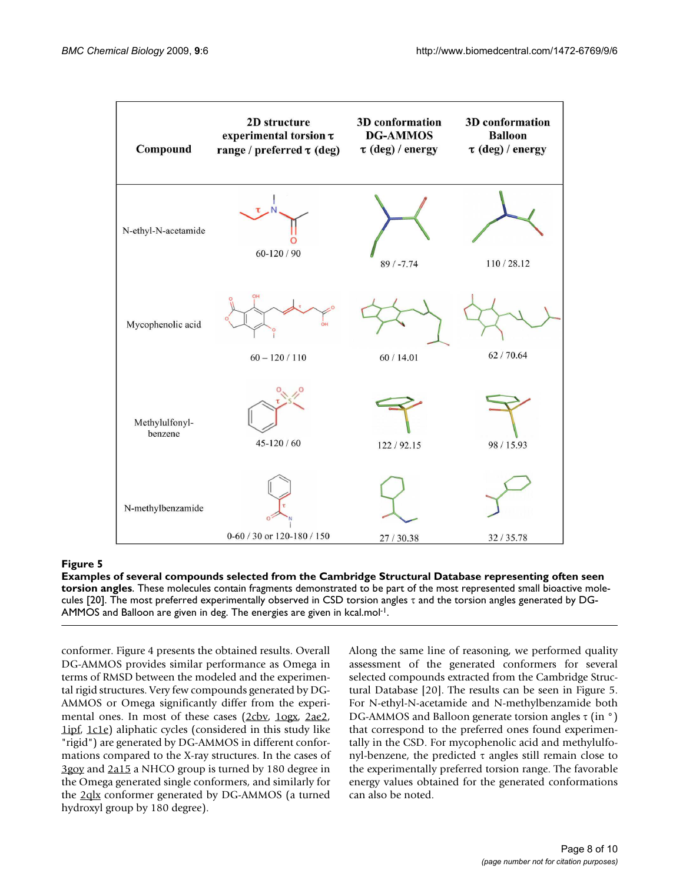

**Examples of several compounds selected from the Cambridge Structural Database representing often seen torsion angles**. These molecules contain fragments demonstrated to be part of the most represented small bioactive molecules [20]. The most preferred experimentally observed in CSD torsion angles τ and the torsion angles generated by DG-AMMOS and Balloon are given in deg. The energies are given in kcal.mol-1.

conformer. Figure 4 presents the obtained results. Overall DG-AMMOS provides similar performance as Omega in terms of RMSD between the modeled and the experimental rigid structures. Very few compounds generated by DG-AMMOS or Omega significantly differ from the experi-mental ones. In most of these cases [\(2cbv](http://www.rcsb.org/pdb/cgi/explore.cgi?pdbId=2cbv), [1ogx,](http://www.rcsb.org/pdb/cgi/explore.cgi?pdbId=1ogx) [2ae2,](http://www.rcsb.org/pdb/cgi/explore.cgi?pdbId=2ae2) [1ipf](http://www.rcsb.org/pdb/cgi/explore.cgi?pdbId=1ipf), [1c1e](http://www.rcsb.org/pdb/cgi/explore.cgi?pdbId=1c1e)) aliphatic cycles (considered in this study like "rigid") are generated by DG-AMMOS in different conformations compared to the X-ray structures. In the cases of [3goy](http://www.rcsb.org/pdb/cgi/explore.cgi?pdbId=3goy) and [2a15](http://www.rcsb.org/pdb/cgi/explore.cgi?pdbId=2a15) a NHCO group is turned by 180 degree in the Omega generated single conformers, and similarly for the [2qlx](http://www.rcsb.org/pdb/cgi/explore.cgi?pdbId=2qlx) conformer generated by DG-AMMOS (a turned hydroxyl group by 180 degree).

Along the same line of reasoning, we performed quality assessment of the generated conformers for several selected compounds extracted from the Cambridge Structural Database [20]. The results can be seen in Figure 5. For N-ethyl-N-acetamide and N-methylbenzamide both DG-AMMOS and Balloon generate torsion angles  $\tau$  (in  $\degree$ ) that correspond to the preferred ones found experimentally in the CSD. For mycophenolic acid and methylulfonyl-benzene, the predicted τ angles still remain close to the experimentally preferred torsion range. The favorable energy values obtained for the generated conformations can also be noted.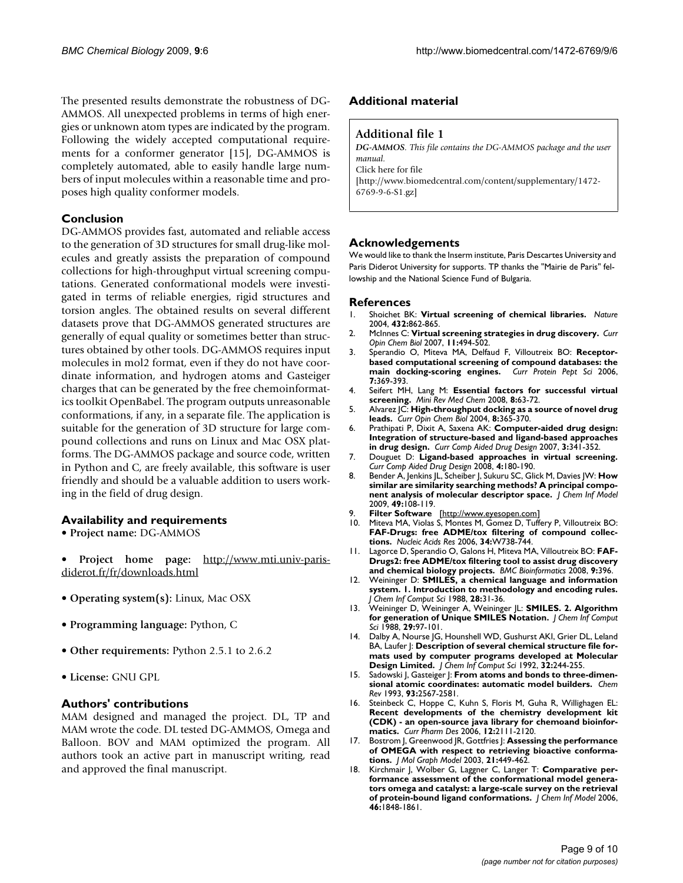The presented results demonstrate the robustness of DG-AMMOS. All unexpected problems in terms of high energies or unknown atom types are indicated by the program. Following the widely accepted computational requirements for a conformer generator [15], DG-AMMOS is completely automated, able to easily handle large numbers of input molecules within a reasonable time and proposes high quality conformer models.

# **Conclusion**

DG-AMMOS provides fast, automated and reliable access to the generation of 3D structures for small drug-like molecules and greatly assists the preparation of compound collections for high-throughput virtual screening computations. Generated conformational models were investigated in terms of reliable energies, rigid structures and torsion angles. The obtained results on several different datasets prove that DG-AMMOS generated structures are generally of equal quality or sometimes better than structures obtained by other tools. DG-AMMOS requires input molecules in mol2 format, even if they do not have coordinate information, and hydrogen atoms and Gasteiger charges that can be generated by the free chemoinformatics toolkit OpenBabel. The program outputs unreasonable conformations, if any, in a separate file. The application is suitable for the generation of 3D structure for large compound collections and runs on Linux and Mac OSX platforms. The DG-AMMOS package and source code, written in Python and C, are freely available, this software is user friendly and should be a valuable addition to users working in the field of drug design.

# **Availability and requirements**

- **Project name:** DG-AMMOS
- **Project home page:** [http://www.mti.univ-paris](http://www.mti.univ-paris-diderot.fr/fr/downloads.html)[diderot.fr/fr/downloads.html](http://www.mti.univ-paris-diderot.fr/fr/downloads.html)
- **Operating system(s):** Linux, Mac OSX
- **Programming language:** Python, C
- **Other requirements:** Python 2.5.1 to 2.6.2
- **License:** GNU GPL

#### **Authors' contributions**

MAM designed and managed the project. DL, TP and MAM wrote the code. DL tested DG-AMMOS, Omega and Balloon. BOV and MAM optimized the program. All authors took an active part in manuscript writing, read and approved the final manuscript.

## **Additional material**

### **Additional file 1**

*DG-AMMOS. This file contains the DG-AMMOS package and the user manual.* Click here for file [\[http://www.biomedcentral.com/content/supplementary/1472-](http://www.biomedcentral.com/content/supplementary/1472-6769-9-6-S1.gz) 6769-9-6-S1.gz]

### **Acknowledgements**

We would like to thank the Inserm institute, Paris Descartes University and Paris Diderot University for supports. TP thanks the "Mairie de Paris" fellowship and the National Science Fund of Bulgaria.

#### **References**

- 1. Shoichet BK: **[Virtual screening of chemical libraries.](http://www.ncbi.nlm.nih.gov/entrez/query.fcgi?cmd=Retrieve&db=PubMed&dopt=Abstract&list_uids=15602552)** *Nature* 2004, **432:**862-865.
- 2. McInnes C: **[Virtual screening strategies in drug discovery.](http://www.ncbi.nlm.nih.gov/entrez/query.fcgi?cmd=Retrieve&db=PubMed&dopt=Abstract&list_uids=17936059)** *Curr Opin Chem Biol* 2007, **11:**494-502.
- 3. Sperandio O, Miteva MA, Delfaud F, Villoutreix BO: **[Receptor](http://www.ncbi.nlm.nih.gov/entrez/query.fcgi?cmd=Retrieve&db=PubMed&dopt=Abstract&list_uids=17073691)[based computational screening of compound databases: the](http://www.ncbi.nlm.nih.gov/entrez/query.fcgi?cmd=Retrieve&db=PubMed&dopt=Abstract&list_uids=17073691) [main docking-scoring engines.](http://www.ncbi.nlm.nih.gov/entrez/query.fcgi?cmd=Retrieve&db=PubMed&dopt=Abstract&list_uids=17073691)** *Curr Protein Pept Sci* 2006, **7:**369-393.
- 4. Seifert MH, Lang M: **[Essential factors for successful virtual](http://www.ncbi.nlm.nih.gov/entrez/query.fcgi?cmd=Retrieve&db=PubMed&dopt=Abstract&list_uids=18220986) [screening.](http://www.ncbi.nlm.nih.gov/entrez/query.fcgi?cmd=Retrieve&db=PubMed&dopt=Abstract&list_uids=18220986)** *Mini Rev Med Chem* 2008, **8:**63-72.
- 5. Alvarez JC: **[High-throughput docking as a source of novel drug](http://www.ncbi.nlm.nih.gov/entrez/query.fcgi?cmd=Retrieve&db=PubMed&dopt=Abstract&list_uids=15288245) [leads.](http://www.ncbi.nlm.nih.gov/entrez/query.fcgi?cmd=Retrieve&db=PubMed&dopt=Abstract&list_uids=15288245)** *Curr Opin Chem Biol* 2004, **8:**365-370.
- 6. Prathipati P, Dixit A, Saxena AK: **Computer-aided drug design: Integration of structure-based and ligand-based approaches in drug design.** *Curr Comp Aided Drug Design* 2007, **3:**341-352.
- 7. Douguet D: **Ligand-based approaches in virtual screening.** *Curr Comp Aided Drug Design* 2008, **4:**180-190.
- 8. Bender A, Jenkins JL, Scheiber J, Sukuru SC, Glick M, Davies JW: **[How](http://www.ncbi.nlm.nih.gov/entrez/query.fcgi?cmd=Retrieve&db=PubMed&dopt=Abstract&list_uids=19123924) [similar are similarity searching methods? A principal compo](http://www.ncbi.nlm.nih.gov/entrez/query.fcgi?cmd=Retrieve&db=PubMed&dopt=Abstract&list_uids=19123924)[nent analysis of molecular descriptor space.](http://www.ncbi.nlm.nih.gov/entrez/query.fcgi?cmd=Retrieve&db=PubMed&dopt=Abstract&list_uids=19123924)** *J Chem Inf Model* 2009, **49:**108-119.
- 9. **Filter Software** [[http://www.eyesopen.com\]](http://www.eyesopen.com)
- 10. Miteva MA, Violas S, Montes M, Gomez D, Tuffery P, Villoutreix BO: **[FAF-Drugs: free ADME/tox filtering of compound collec](http://www.ncbi.nlm.nih.gov/entrez/query.fcgi?cmd=Retrieve&db=PubMed&dopt=Abstract&list_uids=16845110)[tions.](http://www.ncbi.nlm.nih.gov/entrez/query.fcgi?cmd=Retrieve&db=PubMed&dopt=Abstract&list_uids=16845110)** *Nucleic Acids Res* 2006, **34:**W738-744.
- 11. Lagorce D, Sperandio O, Galons H, Miteva MA, Villoutreix BO: **[FAF-](http://www.ncbi.nlm.nih.gov/entrez/query.fcgi?cmd=Retrieve&db=PubMed&dopt=Abstract&list_uids=18816385)[Drugs2: free ADME/tox filtering tool to assist drug discovery](http://www.ncbi.nlm.nih.gov/entrez/query.fcgi?cmd=Retrieve&db=PubMed&dopt=Abstract&list_uids=18816385) [and chemical biology projects.](http://www.ncbi.nlm.nih.gov/entrez/query.fcgi?cmd=Retrieve&db=PubMed&dopt=Abstract&list_uids=18816385)** *BMC Bioinformatics* 2008, **9:**396.
- 12. Weininger D: **SMILES, a chemical language and information system. 1. Introduction to methodology and encoding rules.** *J Chem Inf Comput Sci* 1988, **28:**31-36.
- 13. Weininger D, Weininger A, Weininger JL: **SMILES. 2. Algorithm for generation of Unique SMILES Notation.** *J Chem Inf Comput Sci* 1988, **29:**97-101.
- 14. Dalby A, Nourse JG, Hounshell WD, Gushurst AKI, Grier DL, Leland BA, Laufer  $\vert$ : **Description of several chemical structure file formats used by computer programs developed at Molecular Design Limited.** *J Chem Inf Comput Sci* 1992, **32:**244-255.
- 15. Sadowski J, Gasteiger J: **From atoms and bonds to three-dimensional atomic coordinates: automatic model builders.** *Chem Rev* 1993, **93:**2567-2581.
- 16. Steinbeck C, Hoppe C, Kuhn S, Floris M, Guha R, Willighagen EL: **Recent developments of the chemistry development kit [\(CDK\) - an open-source java library for chemoand bioinfor](http://www.ncbi.nlm.nih.gov/entrez/query.fcgi?cmd=Retrieve&db=PubMed&dopt=Abstract&list_uids=16796559)[matics.](http://www.ncbi.nlm.nih.gov/entrez/query.fcgi?cmd=Retrieve&db=PubMed&dopt=Abstract&list_uids=16796559)** *Curr Pharm Des* 2006, **12:**2111-2120.
- 17. Bostrom J, Greenwood JR, Gottfries J: **[Assessing the performance](http://www.ncbi.nlm.nih.gov/entrez/query.fcgi?cmd=Retrieve&db=PubMed&dopt=Abstract&list_uids=12543140) [of OMEGA with respect to retrieving bioactive conforma](http://www.ncbi.nlm.nih.gov/entrez/query.fcgi?cmd=Retrieve&db=PubMed&dopt=Abstract&list_uids=12543140)[tions.](http://www.ncbi.nlm.nih.gov/entrez/query.fcgi?cmd=Retrieve&db=PubMed&dopt=Abstract&list_uids=12543140)** *J Mol Graph Model* 2003, **21:**449-462.
- 18. Kirchmair J, Wolber G, Laggner C, Langer T: **[Comparative per](http://www.ncbi.nlm.nih.gov/entrez/query.fcgi?cmd=Retrieve&db=PubMed&dopt=Abstract&list_uids=16859316)formance assessment of the conformational model genera[tors omega and catalyst: a large-scale survey on the retrieval](http://www.ncbi.nlm.nih.gov/entrez/query.fcgi?cmd=Retrieve&db=PubMed&dopt=Abstract&list_uids=16859316) [of protein-bound ligand conformations.](http://www.ncbi.nlm.nih.gov/entrez/query.fcgi?cmd=Retrieve&db=PubMed&dopt=Abstract&list_uids=16859316)** *J Chem Inf Model* 2006, **46:**1848-1861.